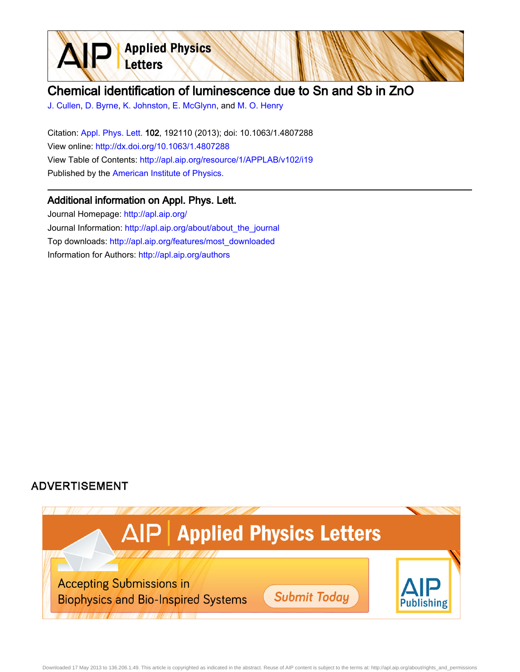

## Chemical identification of luminescence due to Sn and Sb in ZnO

[J. Cullen,](http://apl.aip.org/search?sortby=newestdate&q=&searchzone=2&searchtype=searchin&faceted=faceted&key=AIP_ALL&possible1=J. Cullen&possible1zone=author&alias=&displayid=AIP&ver=pdfcov) [D. Byrne](http://apl.aip.org/search?sortby=newestdate&q=&searchzone=2&searchtype=searchin&faceted=faceted&key=AIP_ALL&possible1=D. Byrne&possible1zone=author&alias=&displayid=AIP&ver=pdfcov), [K. Johnston,](http://apl.aip.org/search?sortby=newestdate&q=&searchzone=2&searchtype=searchin&faceted=faceted&key=AIP_ALL&possible1=K. Johnston&possible1zone=author&alias=&displayid=AIP&ver=pdfcov) [E. McGlynn,](http://apl.aip.org/search?sortby=newestdate&q=&searchzone=2&searchtype=searchin&faceted=faceted&key=AIP_ALL&possible1=E. McGlynn&possible1zone=author&alias=&displayid=AIP&ver=pdfcov) and [M. O. Henry](http://apl.aip.org/search?sortby=newestdate&q=&searchzone=2&searchtype=searchin&faceted=faceted&key=AIP_ALL&possible1=M. O. Henry&possible1zone=author&alias=&displayid=AIP&ver=pdfcov)

Citation: [Appl. Phys. Lett. 1](http://apl.aip.org/?ver=pdfcov)02, 192110 (2013); doi: 10.1063/1.4807288 View online: [http://dx.doi.org/10.1063/1.4807288](http://link.aip.org/link/doi/10.1063/1.4807288?ver=pdfcov) View Table of Contents: [http://apl.aip.org/resource/1/APPLAB/v102/i19](http://apl.aip.org/resource/1/APPLAB/v102/i19?ver=pdfcov) Published by the [American Institute of Physics.](http://www.aip.org/?ver=pdfcov)

## Additional information on Appl. Phys. Lett.

Journal Homepage: [http://apl.aip.org/](http://apl.aip.org/?ver=pdfcov) Journal Information: [http://apl.aip.org/about/about\\_the\\_journal](http://apl.aip.org/about/about_the_journal?ver=pdfcov) Top downloads: [http://apl.aip.org/features/most\\_downloaded](http://apl.aip.org/features/most_downloaded?ver=pdfcov) Information for Authors: [http://apl.aip.org/authors](http://apl.aip.org/authors?ver=pdfcov)

## **ADVERTISEMENT**



Downloaded 17 May 2013 to 136.206.1.49. This article is copyrighted as indicated in the abstract. Reuse of AIP content is subject to the terms at: http://apl.aip.org/about/rights\_and\_permissions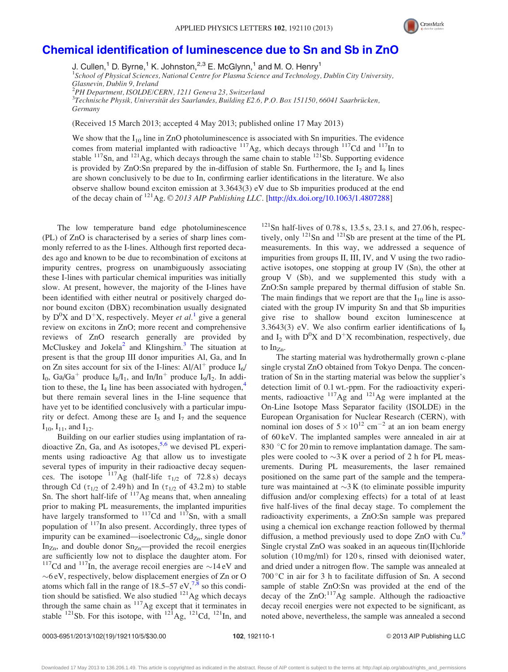

## [Chemical identification of luminescence due to Sn and Sb in ZnO](http://dx.doi.org/10.1063/1.4807288)

J. Cullen,<sup>1</sup> D. Byrne,<sup>1</sup> K. Johnston,<sup>2,3</sup> E. McGlynn,<sup>1</sup> and M. O. Henry<sup>1</sup>

<sup>1</sup>School of Physical Sciences, National Centre for Plasma Science and Technology, Dublin City University,

Glasnevin, Dublin 9, Ireland

<sup>2</sup>PH Department, ISOLDE/CERN, 1211 Geneva 23, Switzerland

 $^3$ Technische Physik, Universität des Saarlandes, Building E2.6, P.O. Box 151150, 66041 Saarbrücken, Germany

(Received 15 March 2013; accepted 4 May 2013; published online 17 May 2013)

We show that the  $I_{10}$  line in ZnO photoluminescence is associated with Sn impurities. The evidence comes from material implanted with radioactive  $117$ Ag, which decays through  $117$ Cd and  $117$ In to stable  $117$ Sn, and  $121$ Ag, which decays through the same chain to stable  $121$ Sb. Supporting evidence is provided by ZnO:Sn prepared by the in-diffusion of stable Sn. Furthermore, the  $I_2$  and  $I_9$  lines are shown conclusively to be due to In, confirming earlier identifications in the literature. We also observe shallow bound exciton emission at 3.3643(3) eV due to Sb impurities produced at the end of the decay chain of <sup>121</sup>Ag. © 2013 AIP Publishing LLC. [[http://dx.doi.org/10.1063/1.4807288\]](http://dx.doi.org/10.1063/1.4807288)

The low temperature band edge photoluminescence (PL) of ZnO is characterised by a series of sharp lines commonly referred to as the I-lines. Although first reported decades ago and known to be due to recombination of excitons at impurity centres, progress on unambiguously associating these I-lines with particular chemical impurities was initially slow. At present, however, the majority of the I-lines have been identified with either neutral or positively charged donor bound exciton (DBX) recombination usually designated by  $D^{0}X$  and  $D^{+}X$ , respectively. Meyer et al.<sup>[1](#page-4-0)</sup> give a general review on excitons in ZnO; more recent and comprehensive reviews of ZnO research generally are provided by McCluskey and Jokela<sup>[2](#page-4-0)</sup> and Klingshirn.<sup>[3](#page-4-0)</sup> The situation at present is that the group III donor impurities Al, Ga, and In on Zn sites account for six of the I-lines:  $Al/Al^+$  produce  $I_6/$  $I_0$ , Ga/Ga<sup>+</sup> produce  $I_8/I_1$ , and In/In<sup>+</sup> produce  $I_9/I_2$ . In addition to these, the  $I_4$  $I_4$  line has been associated with hydrogen,<sup>4</sup> but there remain several lines in the I-line sequence that have yet to be identified conclusively with a particular impurity or defect. Among these are  $I_5$  and  $I_7$  and the sequence  $I_{10}$ ,  $I_{11}$ , and  $I_{12}$ .

Building on our earlier studies using implantation of radioactive Zn, Ga, and As isotopes,  $5.6$  we devised PL experiments using radioactive Ag that allow us to investigate several types of impurity in their radioactive decay sequences. The isotope  $117\text{Ag}$  (half-life  $\tau_{1/2}$  of 72.8 s) decays through Cd ( $\tau_{1/2}$  of 2.49 h) and In ( $\tau_{1/2}$  of 43.2 m) to stable Sn. The short half-life of  $117$ Ag means that, when annealing prior to making PL measurements, the implanted impurities have largely transformed to  $117$ Cd and  $117$ Sn, with a small population of  $117$ In also present. Accordingly, three types of impurity can be examined—isoelectronic  $Cd_{Zn}$ , single donor In<sub>Zn</sub>, and double donor  $Sn_{Zn}$ —provided the recoil energies are sufficiently low not to displace the daughter atom. For <sup>117</sup>Cd and <sup>117</sup>In, the average recoil energies are  $\sim$  14 eV and -6 eV, respectively, below displacement energies of Zn or O atoms which fall in the range of  $18.5-57$  eV,<sup>[7,8](#page-5-0)</sup> so this condition should be satisfied. We also studied  $^{121}$ Ag which decays through the same chain as  $117$ Ag except that it terminates in stable  $^{121}$ Sb. For this isotope, with  $^{121}$ Ag,  $^{121}$ Cd,  $^{121}$ In, and

 $121$ Sn half-lives of 0.78 s, 13.5 s, 23.1 s, and 27.06 h, respectively, only  $121$ Sn and  $121$ Sb are present at the time of the PL measurements. In this way, we addressed a sequence of impurities from groups II, III, IV, and V using the two radioactive isotopes, one stopping at group IV (Sn), the other at group V (Sb), and we supplemented this study with a ZnO:Sn sample prepared by thermal diffusion of stable Sn. The main findings that we report are that the  $I_{10}$  line is associated with the group IV impurity Sn and that Sb impurities give rise to shallow bound exciton luminescence at 3.3643(3) eV. We also confirm earlier identifications of  $I<sub>9</sub>$ and  $I_2$  with  $D^0X$  and  $D^+X$  recombination, respectively, due to In<sub>Zn</sub>.

The starting material was hydrothermally grown c-plane single crystal ZnO obtained from Tokyo Denpa. The concentration of Sn in the starting material was below the supplier's detection limit of 0.1 wt.-ppm. For the radioactivity experiments, radioactive  $117$ Ag and  $121$ Ag were implanted at the On-Line Isotope Mass Separator facility (ISOLDE) in the European Organisation for Nuclear Research (CERN), with nominal ion doses of  $5 \times 10^{12}$  cm<sup>-2</sup> at an ion beam energy of 60 keV. The implanted samples were annealed in air at 830 °C for 20 min to remove implantation damage. The samples were cooled to  $\sim$ 3 K over a period of 2 h for PL measurements. During PL measurements, the laser remained positioned on the same part of the sample and the temperature was maintained at  $\sim$ 3 K (to eliminate possible impurity diffusion and/or complexing effects) for a total of at least five half-lives of the final decay stage. To complement the radioactivity experiments, a ZnO:Sn sample was prepared using a chemical ion exchange reaction followed by thermal diffusion, a method previously used to dope ZnO with Cu.<sup>[9](#page-5-0)</sup> Single crystal ZnO was soaked in an aqueous tin(II)chloride solution (10 mg/ml) for 120 s, rinsed with deionised water, and dried under a nitrogen flow. The sample was annealed at  $700\degree$ C in air for 3 h to facilitate diffusion of Sn. A second sample of stable ZnO:Sn was provided at the end of the decay of the  $ZnO$ :<sup>117</sup>Ag sample. Although the radioactive decay recoil energies were not expected to be significant, as noted above, nevertheless, the sample was annealed a second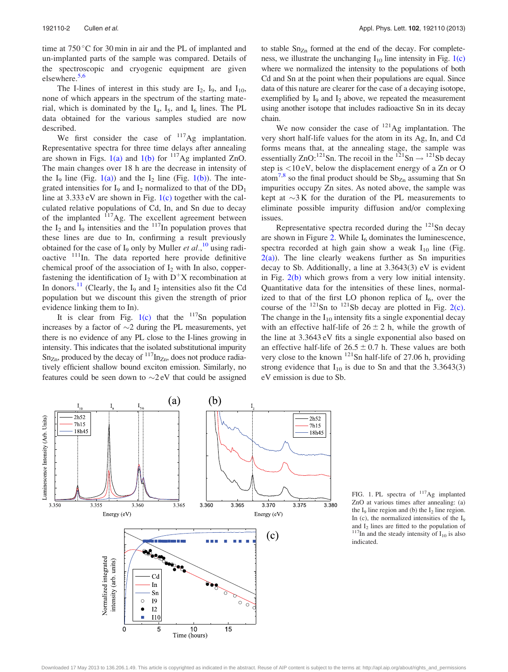<span id="page-2-0"></span>time at  $750\,^{\circ}$ C for 30 min in air and the PL of implanted and un-implanted parts of the sample was compared. Details of the spectroscopic and cryogenic equipment are given elsewhere.<sup>[5,6](#page-5-0)</sup>

The I-lines of interest in this study are  $I_2$ ,  $I_9$ , and  $I_{10}$ , none of which appears in the spectrum of the starting material, which is dominated by the  $I_4$ ,  $I_5$ , and  $I_6$  lines. The PL data obtained for the various samples studied are now described.

We first consider the case of  $117$ Ag implantation. Representative spectra for three time delays after annealing are shown in Figs. 1(a) and 1(b) for  $117$ Ag implanted ZnO. The main changes over 18 h are the decrease in intensity of the  $I_9$  line (Fig. 1(a)) and the  $I_2$  line (Fig. 1(b)). The integrated intensities for  $I_9$  and  $I_2$  normalized to that of the  $DD_1$ line at 3.333 eV are shown in Fig. 1(c) together with the calculated relative populations of Cd, In, and Sn due to decay of the implanted  $117$ Ag. The excellent agreement between the  $I_2$  and  $I_9$  intensities and the  $117$ In population proves that these lines are due to In, confirming a result previously obtained for the case of  $I_9$  only by Muller *et al.*,<sup>[10](#page-5-0)</sup> using radioactive  $111$ In. The data reported here provide definitive chemical proof of the association of  $I_2$  with In also, copperfastening the identification of  $I_2$  with  $D^+X$  recombination at In donors.<sup>[11](#page-5-0)</sup> (Clearly, the I<sub>9</sub> and I<sub>2</sub> intensities also fit the Cd population but we discount this given the strength of prior evidence linking them to In).

It is clear from Fig.  $1(c)$  that the  $117$ Sn population increases by a factor of  $\sim$ 2 during the PL measurements, yet there is no evidence of any PL close to the I-lines growing in intensity. This indicates that the isolated substitutional impurity  $Sn_{Zn}$ , produced by the decay of  $117_{nZn}$ , does not produce radiatively efficient shallow bound exciton emission. Similarly, no features could be seen down to  $\sim$ 2 eV that could be assigned

to stable  $Sn_{Zn}$  formed at the end of the decay. For completeness, we illustrate the unchanging  $I_{10}$  line intensity in Fig. 1(c) where we normalized the intensity to the populations of both Cd and Sn at the point when their populations are equal. Since data of this nature are clearer for the case of a decaying isotope, exemplified by  $I_9$  and  $I_2$  above, we repeated the measurement using another isotope that includes radioactive Sn in its decay chain.

We now consider the case of  $^{121}$ Ag implantation. The very short half-life values for the atom in its Ag, In, and Cd forms means that, at the annealing stage, the sample was essentially ZnO:<sup>121</sup>Sn. The recoil in the <sup>121</sup>Sn  $\rightarrow$  <sup>121</sup>Sb decay step is <10 eV, below the displacement energy of a Zn or O atom<sup>[7,8](#page-5-0)</sup> so the final product should be  $Sb_{Zn}$  assuming that Sn impurities occupy Zn sites. As noted above, the sample was kept at  $\sim$ 3K for the duration of the PL measurements to eliminate possible impurity diffusion and/or complexing issues.

Representative spectra recorded during the  $121$ Sn decay are shown in Figure [2.](#page-3-0) While  $I_6$  dominates the luminescence, spectra recorded at high gain show a weak  $I_{10}$  line (Fig.  $2(a)$ ). The line clearly weakens further as Sn impurities decay to Sb. Additionally, a line at 3.3643(3) eV is evident in Fig. [2\(b\)](#page-3-0) which grows from a very low initial intensity. Quantitative data for the intensities of these lines, normalized to that of the first LO phonon replica of  $I_6$ , over the course of the  $^{121}$ Sn to  $^{121}$ Sb decay are plotted in Fig. [2\(c\)](#page-3-0). The change in the  $I_{10}$  intensity fits a single exponential decay with an effective half-life of  $26 \pm 2$  h, while the growth of the line at 3.3643 eV fits a single exponential also based on an effective half-life of  $26.5 \pm 0.7$  h. These values are both very close to the known  $^{121}$ Sn half-life of 27.06 h, providing strong evidence that  $I_{10}$  is due to Sn and that the 3.3643(3) eV emission is due to Sb.



FIG. 1. PL spectra of  $117$ Ag implanted ZnO at various times after annealing: (a) the  $I_9$  line region and (b) the  $I_2$  line region. In (c), the normalized intensities of the  $I_9$  and  $I_2$  lines are fitted to the population of <sup>117</sup>In and the steady intensity of  $I_{10}$  is also indicated.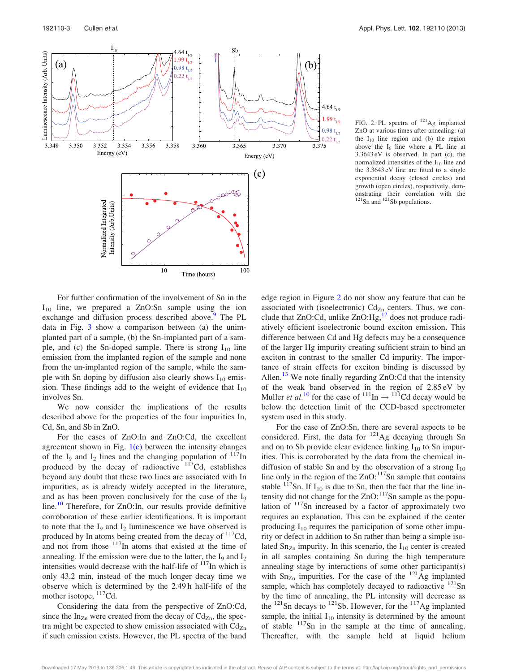<span id="page-3-0"></span>

FIG. 2. PL spectra of <sup>121</sup>Ag implanted ZnO at various times after annealing: (a) the  $I_{10}$  line region and (b) the region above the  $I_6$  line where a PL line at 3.3643 eV is observed. In part (c), the normalized intensities of the  $I_{10}$  line and the 3.3643 eV line are fitted to a single exponential decay (closed circles) and growth (open circles), respectively, demonstrating their correlation with the  $121$ Sn and  $121$ Sb populations.

For further confirmation of the involvement of Sn in the  $I_{10}$  line, we prepared a ZnO:Sn sample using the ion exchange and diffusion process described above.<sup>[9](#page-5-0)</sup> The PL data in Fig. [3](#page-4-0) show a comparison between (a) the unimplanted part of a sample, (b) the Sn-implanted part of a sample, and (c) the Sn-doped sample. There is strong  $I_{10}$  line emission from the implanted region of the sample and none from the un-implanted region of the sample, while the sample with Sn doping by diffusion also clearly shows  $I_{10}$  emission. These findings add to the weight of evidence that  $I_{10}$ involves Sn.

We now consider the implications of the results described above for the properties of the four impurities In, Cd, Sn, and Sb in ZnO.

For the cases of ZnO:In and ZnO:Cd, the excellent agreement shown in Fig. [1\(c\)](#page-2-0) between the intensity changes of the  $I_9$  and  $I_2$  lines and the changing population of  $117$ In produced by the decay of radioactive  $117Cd$ , establishes beyond any doubt that these two lines are associated with In impurities, as is already widely accepted in the literature, and as has been proven conclusively for the case of the  $I<sub>9</sub>$ line.<sup>[10](#page-5-0)</sup> Therefore, for ZnO:In, our results provide definitive corroboration of these earlier identifications. It is important to note that the  $I_9$  and  $I_2$  luminescence we have observed is produced by In atoms being created from the decay of  $\frac{117}{\text{Cd}}$ , and not from those  $117$ In atoms that existed at the time of annealing. If the emission were due to the latter, the  $I_9$  and  $I_2$ intensities would decrease with the half-life of  $117$ In which is only 43.2 min, instead of the much longer decay time we observe which is determined by the 2.49 h half-life of the mother isotope, <sup>117</sup>Cd.

Considering the data from the perspective of ZnO:Cd, since the  $In_{Zn}$  were created from the decay of  $Cd_{Zn}$ , the spectra might be expected to show emission associated with  $Cd<sub>Zn</sub>$ if such emission exists. However, the PL spectra of the band

edge region in Figure 2 do not show any feature that can be associated with (isoelectronic)  $Cd_{Zn}$  centers. Thus, we con-clude that ZnO:Cd, unlike ZnO:Hg,<sup>[12](#page-5-0)</sup> does not produce radiatively efficient isoelectronic bound exciton emission. This difference between Cd and Hg defects may be a consequence of the larger Hg impurity creating sufficient strain to bind an exciton in contrast to the smaller Cd impurity. The importance of strain effects for exciton binding is discussed by Allen.<sup>[13](#page-5-0)</sup> We note finally regarding  $ZnO:Cd$  that the intensity of the weak band observed in the region of 2.85 eV by Muller *et al.*<sup>[10](#page-5-0)</sup> for the case of <sup>111</sup>In  $\rightarrow$ <sup>111</sup>Cd decay would be below the detection limit of the CCD-based spectrometer system used in this study.

For the case of ZnO:Sn, there are several aspects to be considered. First, the data for  $^{121}$ Ag decaying through Sn and on to Sb provide clear evidence linking  $I_{10}$  to Sn impurities. This is corroborated by the data from the chemical indiffusion of stable Sn and by the observation of a strong  $I_{10}$ line only in the region of the  $ZnO$ :<sup>117</sup>Sn sample that contains stable  $117$ Sn. If I<sub>10</sub> is due to Sn, then the fact that the line intensity did not change for the  $ZnO:117$ Sn sample as the population of 117Sn increased by a factor of approximately two requires an explanation. This can be explained if the center producing  $I_{10}$  requires the participation of some other impurity or defect in addition to Sn rather than being a simple isolated  $Sn_{Zn}$  impurity. In this scenario, the  $I_{10}$  center is created in all samples containing Sn during the high temperature annealing stage by interactions of some other participant(s) with  $Sn_{Zn}$  impurities. For the case of the  $^{121}Ag$  implanted sample, which has completely decayed to radioactive  $121$ Sn by the time of annealing, the PL intensity will decrease as the  $^{121}$ Sn decays to  $^{121}$ Sb. However, for the  $^{117}$ Ag implanted sample, the initial  $I_{10}$  intensity is determined by the amount of stable  $117$ Sn in the sample at the time of annealing. Thereafter, with the sample held at liquid helium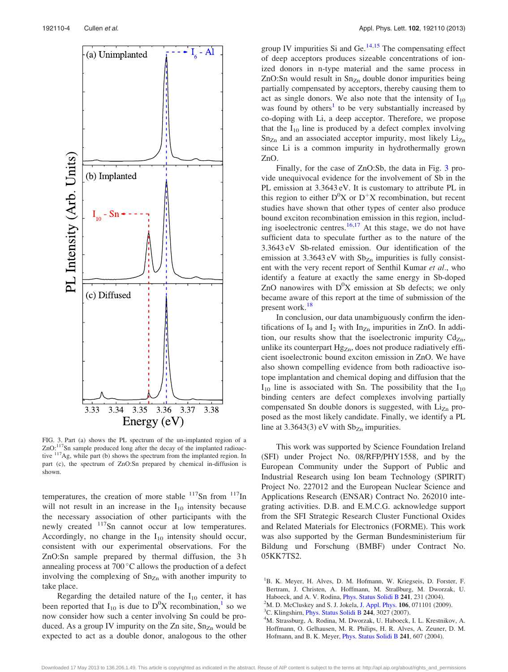<span id="page-4-0"></span>

FIG. 3. Part (a) shows the PL spectrum of the un-implanted region of a ZnO:<sup>117</sup>Sn sample produced long after the decay of the implanted radioactive  $117\text{Ag}$ , while part (b) shows the spectrum from the implanted region. In part (c), the spectrum of ZnO:Sn prepared by chemical in-diffusion is shown.

temperatures, the creation of more stable  $117$ Sn from  $117$ In will not result in an increase in the  $I_{10}$  intensity because the necessary association of other participants with the newly created <sup>117</sup>Sn cannot occur at low temperatures. Accordingly, no change in the  $I_{10}$  intensity should occur, consistent with our experimental observations. For the ZnO:Sn sample prepared by thermal diffusion, the 3 h annealing process at  $700\degree C$  allows the production of a defect involving the complexing of  $Sn_{Zn}$  with another impurity to take place.

Regarding the detailed nature of the  $I_{10}$  center, it has been reported that  $I_{10}$  is due to  $D^0X$  recombination,<sup>1</sup> so we now consider how such a center involving Sn could be produced. As a group IV impurity on the Zn site,  $Sn_{Zn}$  would be expected to act as a double donor, analogous to the other group IV impurities Si and Ge. $14,15$  The compensating effect of deep acceptors produces sizeable concentrations of ionized donors in n-type material and the same process in ZnO:Sn would result in  $Sn_{Zn}$  double donor impurities being partially compensated by acceptors, thereby causing them to act as single donors. We also note that the intensity of  $I_{10}$ was found by others<sup>1</sup> to be very substantially increased by co-doping with Li, a deep acceptor. Therefore, we propose that the  $I_{10}$  line is produced by a defect complex involving  $Sn_{Zn}$  and an associated acceptor impurity, most likely  $Li_{Zn}$ since Li is a common impurity in hydrothermally grown ZnO.

Finally, for the case of ZnO:Sb, the data in Fig. 3 provide unequivocal evidence for the involvement of Sb in the PL emission at 3.3643 eV. It is customary to attribute PL in this region to either  $D^0X$  or  $D^+X$  recombination, but recent studies have shown that other types of center also produce bound exciton recombination emission in this region, including isoelectronic centres. $16,17$  At this stage, we do not have sufficient data to speculate further as to the nature of the 3.3643 eV Sb-related emission. Our identification of the emission at  $3.3643 \text{ eV}$  with  $Sb_{Zn}$  impurities is fully consistent with the very recent report of Senthil Kumar et al., who identify a feature at exactly the same energy in Sb-doped ZnO nanowires with  $D^0X$  emission at Sb defects; we only became aware of this report at the time of submission of the present work.<sup>[18](#page-5-0)</sup>

In conclusion, our data unambiguously confirm the identifications of  $I_9$  and  $I_2$  with  $In_{Zn}$  impurities in ZnO. In addition, our results show that the isoelectronic impurity  $Cd_{Zn}$ , unlike its counterpart  $Hg_{Zn}$ , does not produce radiatively efficient isoelectronic bound exciton emission in ZnO. We have also shown compelling evidence from both radioactive isotope implantation and chemical doping and diffusion that the  $I_{10}$  line is associated with Sn. The possibility that the  $I_{10}$ binding centers are defect complexes involving partially compensated Sn double donors is suggested, with  $Li<sub>Zn</sub>$  proposed as the most likely candidate. Finally, we identify a PL line at 3.3643(3) eV with  $Sb_{Zn}$  impurities.

This work was supported by Science Foundation Ireland (SFI) under Project No. 08/RFP/PHY1558, and by the European Community under the Support of Public and Industrial Research using Ion beam Technology (SPIRIT) Project No. 227012 and the European Nuclear Science and Applications Research (ENSAR) Contract No. 262010 integrating activities. D.B. and E.M.C.G. acknowledge support from the SFI Strategic Research Cluster Functional Oxides and Related Materials for Electronics (FORME). This work was also supported by the German Bundesministerium für Bildung und Forschung (BMBF) under Contract No. 05KK7TS2.

- $^{2}$ M. D. McCluskey and S. J. Jokela, [J. Appl. Phys.](http://dx.doi.org/10.1063/1.3216464) 106, 071101 (2009).
- <sup>3</sup>C. Klingshirn, *[Phys. Status Solidi B](http://dx.doi.org/10.1002/pssb.200743072)* 244, 3027 (2007).
- <sup>4</sup>M. Strassburg, A. Rodina, M. Dworzak, U. Haboeck, I. L. Krestnikov, A. Hoffmann, O. Gelhausen, M. R. Philips, H. R. Alves, A. Zeuner, D. M. Hofmann, and B. K. Meyer, [Phys. Status Solidi B](http://dx.doi.org/10.1002/pssb.200304187) 241, 607 (2004).

<sup>&</sup>lt;sup>1</sup>B. K. Meyer, H. Alves, D. M. Hofmann, W. Kriegseis, D. Forster, F. Bertram, J. Christen, A. Hoffmann, M. Straßburg, M. Dworzak, U. Haboeck, and A. V. Rodina, *[Phys. Status Solidi B](http://dx.doi.org/10.1002/pssb.200301962)* 241, 231 (2004).